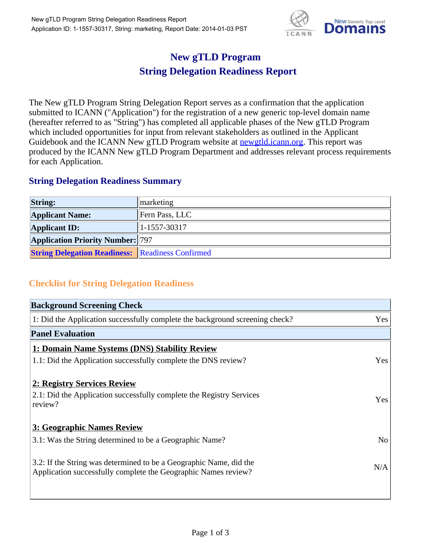

## **New gTLD Program String Delegation Readiness Report**

The New gTLD Program String Delegation Report serves as a confirmation that the application submitted to ICANN ("Application") for the registration of a new generic top-level domain name (hereafter referred to as "String") has completed all applicable phases of the New gTLD Program which included opportunities for input from relevant stakeholders as outlined in the Applicant Guidebook and the ICANN New gTLD Program website at **newgtld.jcann.org**. This report was produced by the ICANN New gTLD Program Department and addresses relevant process requirements for each Application.

## **String Delegation Readiness Summary**

| <b>String:</b>                                          | marketing            |
|---------------------------------------------------------|----------------------|
| <b>Applicant Name:</b>                                  | Fern Pass, LLC       |
| <b>Applicant ID:</b>                                    | $ 1 - 1557 - 30317 $ |
| <b>Application Priority Number: 797</b>                 |                      |
| <b>String Delegation Readiness: Readiness Confirmed</b> |                      |

## **Checklist for String Delegation Readiness**

| <b>Background Screening Check</b>                                                                                                    |                |
|--------------------------------------------------------------------------------------------------------------------------------------|----------------|
| 1: Did the Application successfully complete the background screening check?                                                         | Yes            |
| <b>Panel Evaluation</b>                                                                                                              |                |
| 1: Domain Name Systems (DNS) Stability Review                                                                                        |                |
| 1.1: Did the Application successfully complete the DNS review?                                                                       | Yes            |
| 2: Registry Services Review<br>2.1: Did the Application successfully complete the Registry Services<br>review?                       | Yes            |
| 3: Geographic Names Review                                                                                                           |                |
| 3.1: Was the String determined to be a Geographic Name?                                                                              | N <sub>o</sub> |
| 3.2: If the String was determined to be a Geographic Name, did the<br>Application successfully complete the Geographic Names review? | N/A            |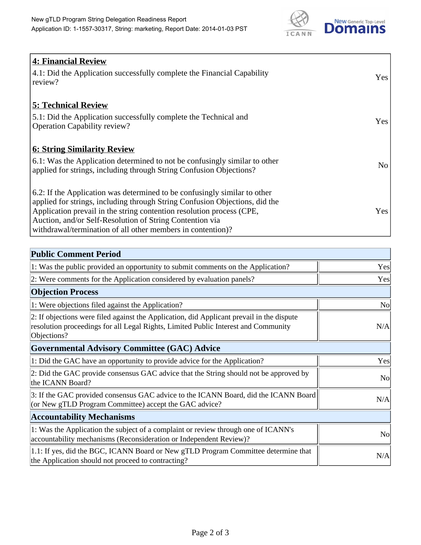

| <b>4: Financial Review</b>                                                  |     |
|-----------------------------------------------------------------------------|-----|
| 4.1: Did the Application successfully complete the Financial Capability     |     |
| review?                                                                     | Yes |
|                                                                             |     |
| <b>5: Technical Review</b>                                                  |     |
| 5.1: Did the Application successfully complete the Technical and            |     |
| <b>Operation Capability review?</b>                                         | Yes |
|                                                                             |     |
| <u><b>6: String Similarity Review</b></u>                                   |     |
| 6.1: Was the Application determined to not be confusingly similar to other  | No  |
| applied for strings, including through String Confusion Objections?         |     |
|                                                                             |     |
| 6.2: If the Application was determined to be confusingly similar to other   |     |
| applied for strings, including through String Confusion Objections, did the |     |
| Application prevail in the string contention resolution process (CPE,       | Yes |
| Auction, and/or Self-Resolution of String Contention via                    |     |
| withdrawal/termination of all other members in contention)?                 |     |

| <b>Public Comment Period</b>                                                                                                                                                                   |                |
|------------------------------------------------------------------------------------------------------------------------------------------------------------------------------------------------|----------------|
| 1: Was the public provided an opportunity to submit comments on the Application?                                                                                                               | Yes            |
| 2: Were comments for the Application considered by evaluation panels?                                                                                                                          | Yes            |
| <b>Objection Process</b>                                                                                                                                                                       |                |
| 1: Were objections filed against the Application?                                                                                                                                              | N <sub>0</sub> |
| 2: If objections were filed against the Application, did Applicant prevail in the dispute<br>resolution proceedings for all Legal Rights, Limited Public Interest and Community<br>Objections? | N/A            |
| Governmental Advisory Committee (GAC) Advice                                                                                                                                                   |                |
| 1: Did the GAC have an opportunity to provide advice for the Application?                                                                                                                      | Yes            |
| 2: Did the GAC provide consensus GAC advice that the String should not be approved by<br>the ICANN Board?                                                                                      | <b>No</b>      |
| 3: If the GAC provided consensus GAC advice to the ICANN Board, did the ICANN Board<br>(or New gTLD Program Committee) accept the GAC advice?                                                  | N/A            |
| <b>Accountability Mechanisms</b>                                                                                                                                                               |                |
| 1: Was the Application the subject of a complaint or review through one of ICANN's<br>accountability mechanisms (Reconsideration or Independent Review)?                                       | N <sub>o</sub> |
| 1.1: If yes, did the BGC, ICANN Board or New gTLD Program Committee determine that<br>the Application should not proceed to contracting?                                                       | N/A            |